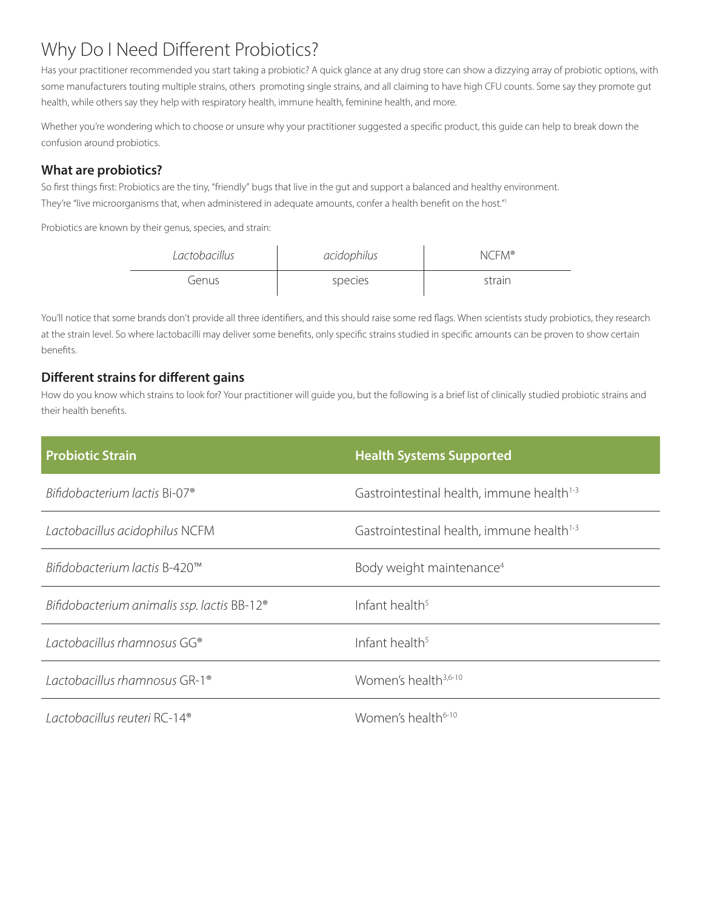# Why Do I Need Different Probiotics?

Has your practitioner recommended you start taking a probiotic? A quick glance at any drug store can show a dizzying array of probiotic options, with some manufacturers touting multiple strains, others promoting single strains, and all claiming to have high CFU counts. Some say they promote gut health, while others say they help with respiratory health, immune health, feminine health, and more.

Whether you're wondering which to choose or unsure why your practitioner suggested a specific product, this guide can help to break down the confusion around probiotics.

#### **What are probiotics?**

So first things first: Probiotics are the tiny, "friendly" bugs that live in the gut and support a balanced and healthy environment. They're "live microorganisms that, when administered in adequate amounts, confer a health benefit on the host."1

Probiotics are known by their genus, species, and strain:

| Lactobacillus | acidophilus | NCFM <sup>®</sup> |
|---------------|-------------|-------------------|
| Genus         | species     | strain            |

You'll notice that some brands don't provide all three identifiers, and this should raise some red flags. When scientists study probiotics, they research at the strain level. So where lactobacilli may deliver some benefits, only specific strains studied in specific amounts can be proven to show certain benefits.

# **Different strains for different gains**

How do you know which strains to look for? Your practitioner will guide you, but the following is a brief list of clinically studied probiotic strains and their health benefits.

| <b>Probiotic Strain</b>                                 | <b>Health Systems Supported</b>                       |
|---------------------------------------------------------|-------------------------------------------------------|
| Bifidobacterium lactis Bi-07 <sup>®</sup>               | Gastrointestinal health, immune health <sup>1-3</sup> |
| Lactobacillus acidophilus NCFM                          | Gastrointestinal health, immune health <sup>1-3</sup> |
| Bifidobacterium lactis B-420™                           | Body weight maintenance <sup>4</sup>                  |
| Bifidobacterium animalis ssp. lactis BB-12 <sup>®</sup> | Infant health <sup>5</sup>                            |
| Lactobacillus rhamnosus GG®                             | Infant health <sup>5</sup>                            |
| Lactobacillus rhamnosus GR-1 <sup>®</sup>               | Women's health <sup>3,6-10</sup>                      |
| Lactobacillus reuteri RC-14 <sup>®</sup>                | Women's health <sup>6-10</sup>                        |